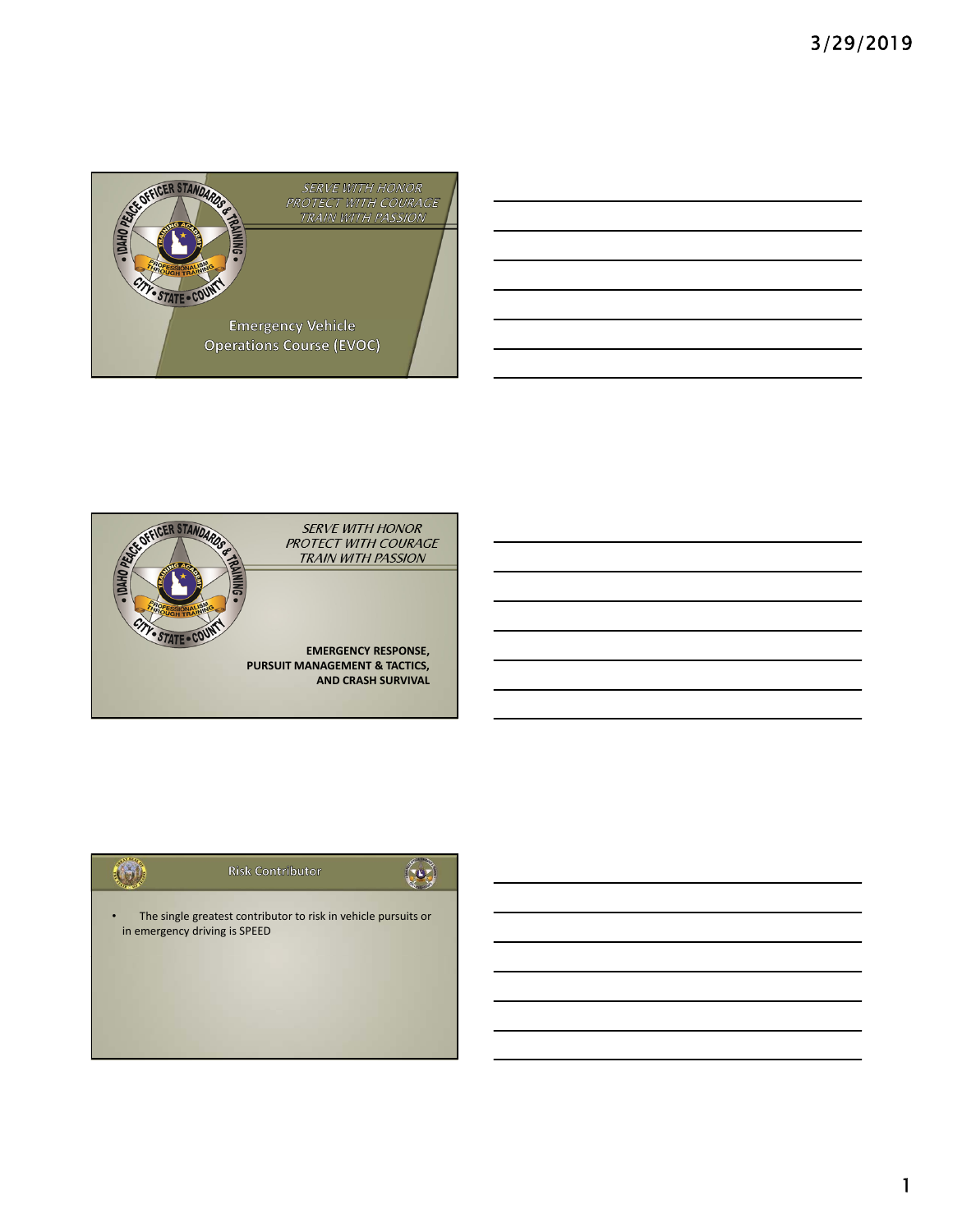





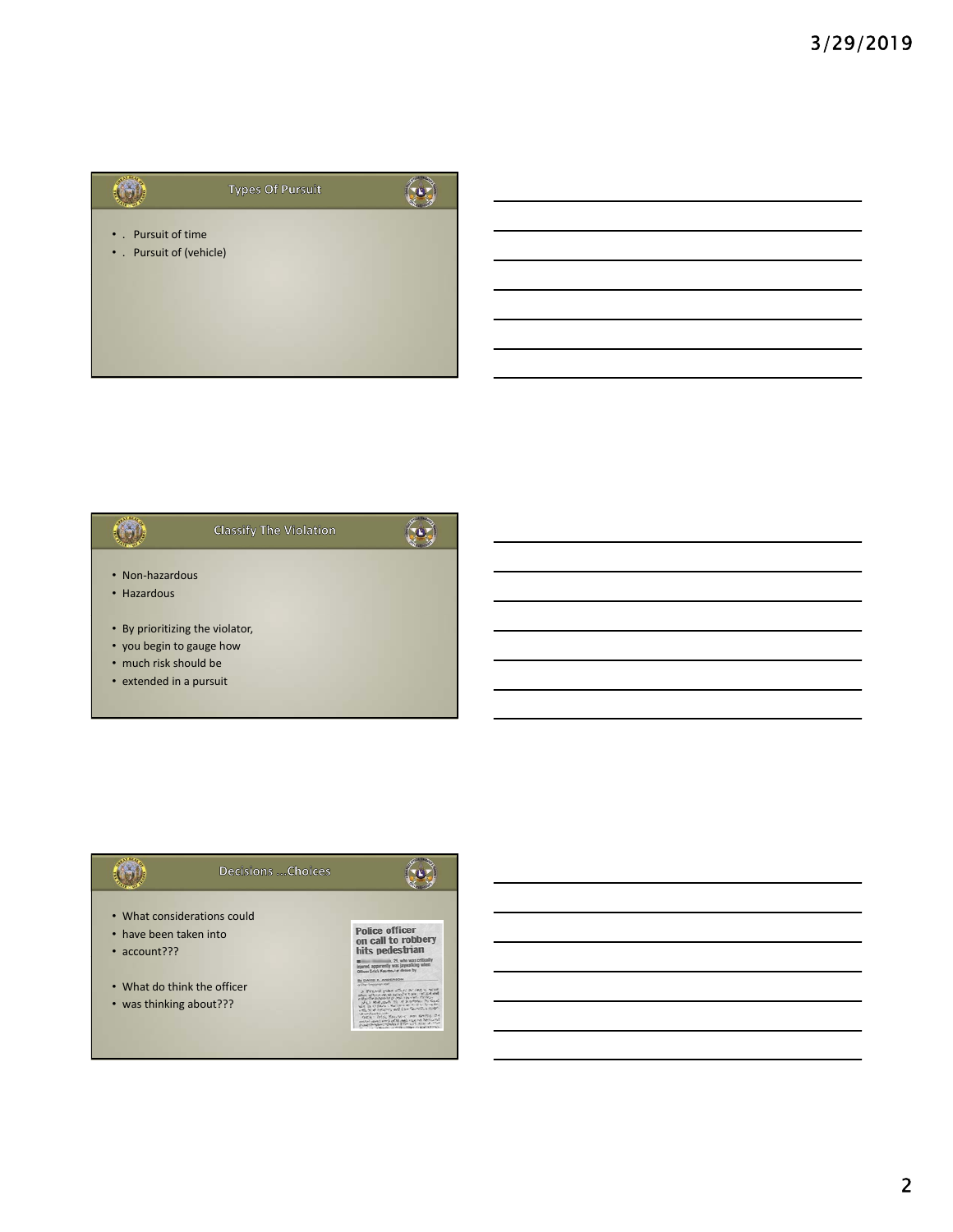



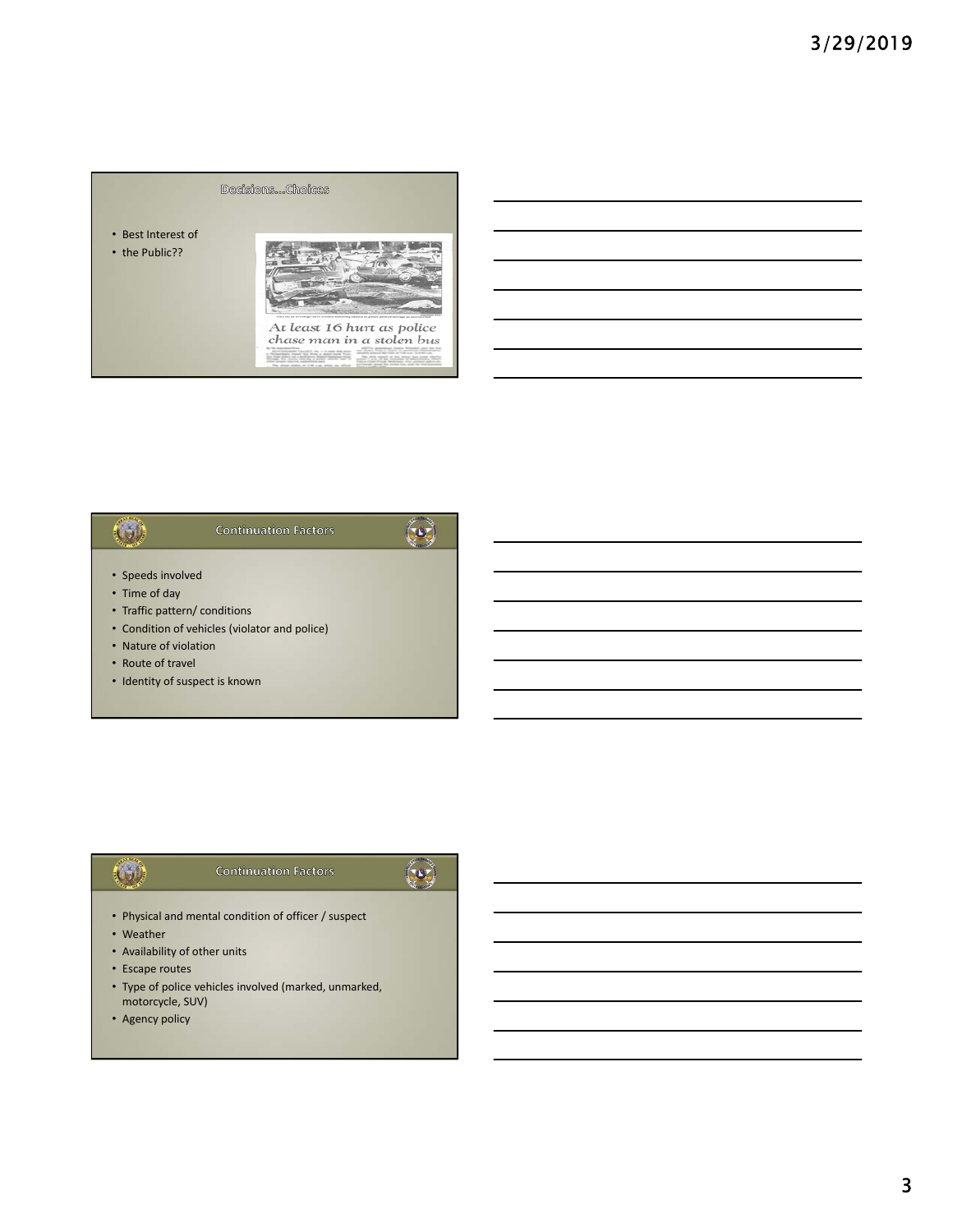### Decisions...Choices

• Best Interest of

• the Public??



### $\left(\begin{matrix} 0 \\ 0 \end{matrix}\right)$  $\left($ o $\right)$ **Continuation Factors** • Speeds involved

- Time of day
- Traffic pattern/ conditions
- Condition of vehicles (violator and police)
- Nature of violation
- Route of travel
- Identity of suspect is known

### **Continuation Factors**

# $\begin{pmatrix} 0 \\ 0 \end{pmatrix}$

- Physical and mental condition of officer / suspect
- Weather

 $\left($   $\rightarrow$   $\right)$ 

- Availability of other units
- Escape routes
- Type of police vehicles involved (marked, unmarked, motorcycle, SUV)
- Agency policy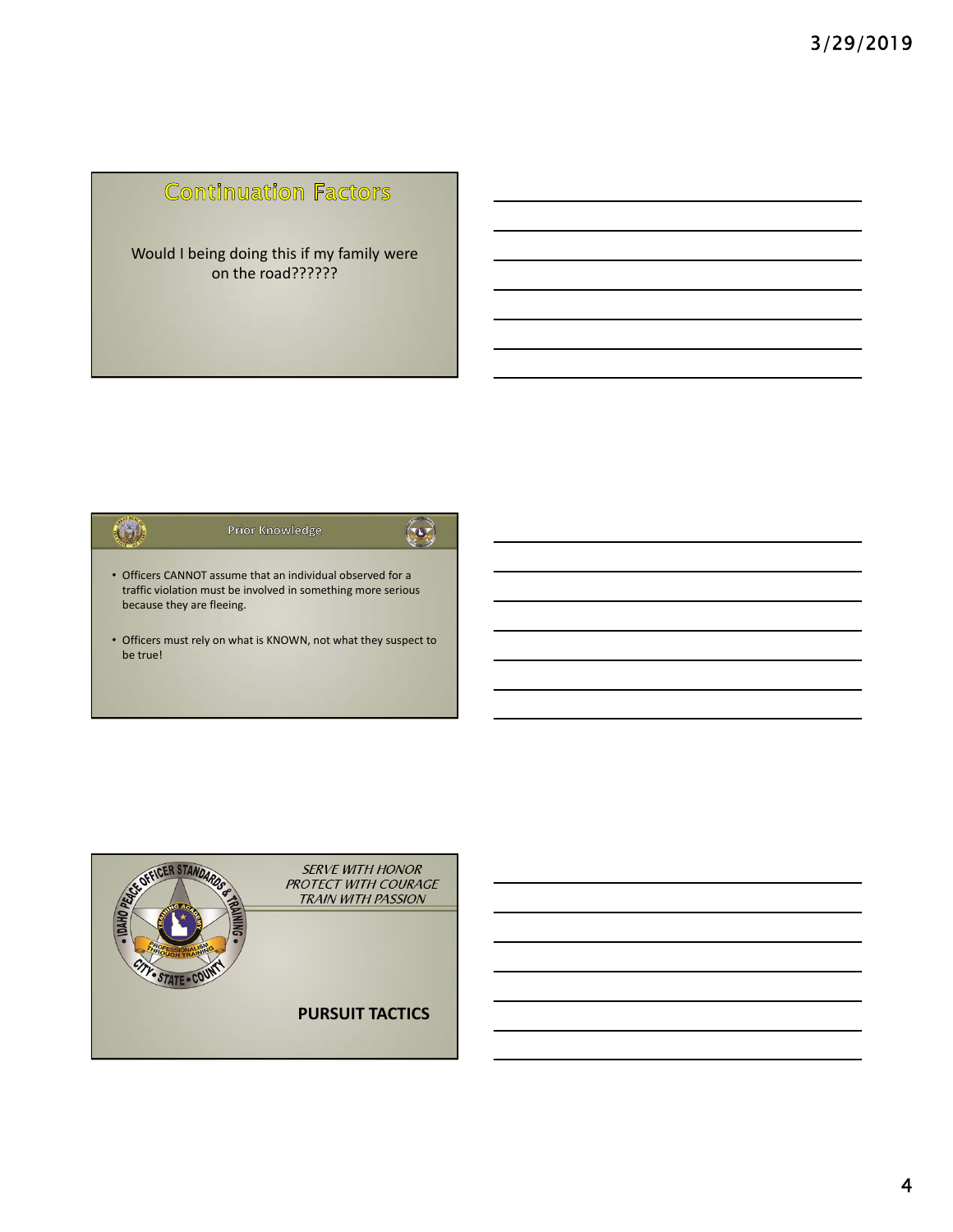## **Continuation Factors**

Would I being doing this if my family were on the road??????



• Officers must rely on what is KNOWN, not what they suspect to be true!

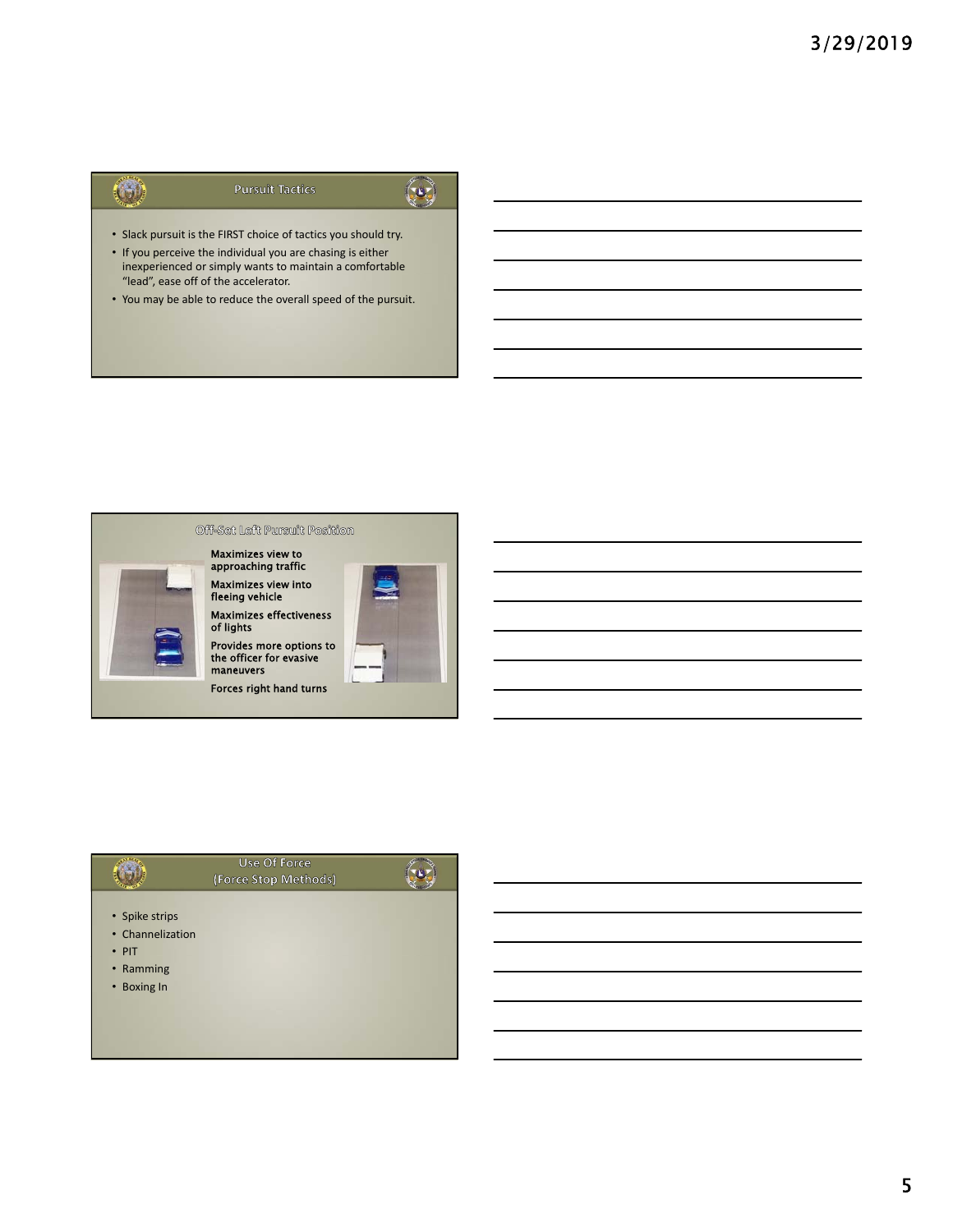## $\left( \begin{matrix} 1 \\ 1 \end{matrix} \right)$

**Pursuit Tactics** 

 $\bigodot$ 

- Slack pursuit is the FIRST choice of tactics you should try.
- If you perceive the individual you are chasing is either inexperienced or simply wants to maintain a comfortable "lead", ease off of the accelerator.
- You may be able to reduce the overall speed of the pursuit.



|                                                                               | Use Of Force<br>(Force Stop Methods) |  |
|-------------------------------------------------------------------------------|--------------------------------------|--|
| • Spike strips<br>• Channelization<br>$\cdot$ PIT<br>• Ramming<br>• Boxing In |                                      |  |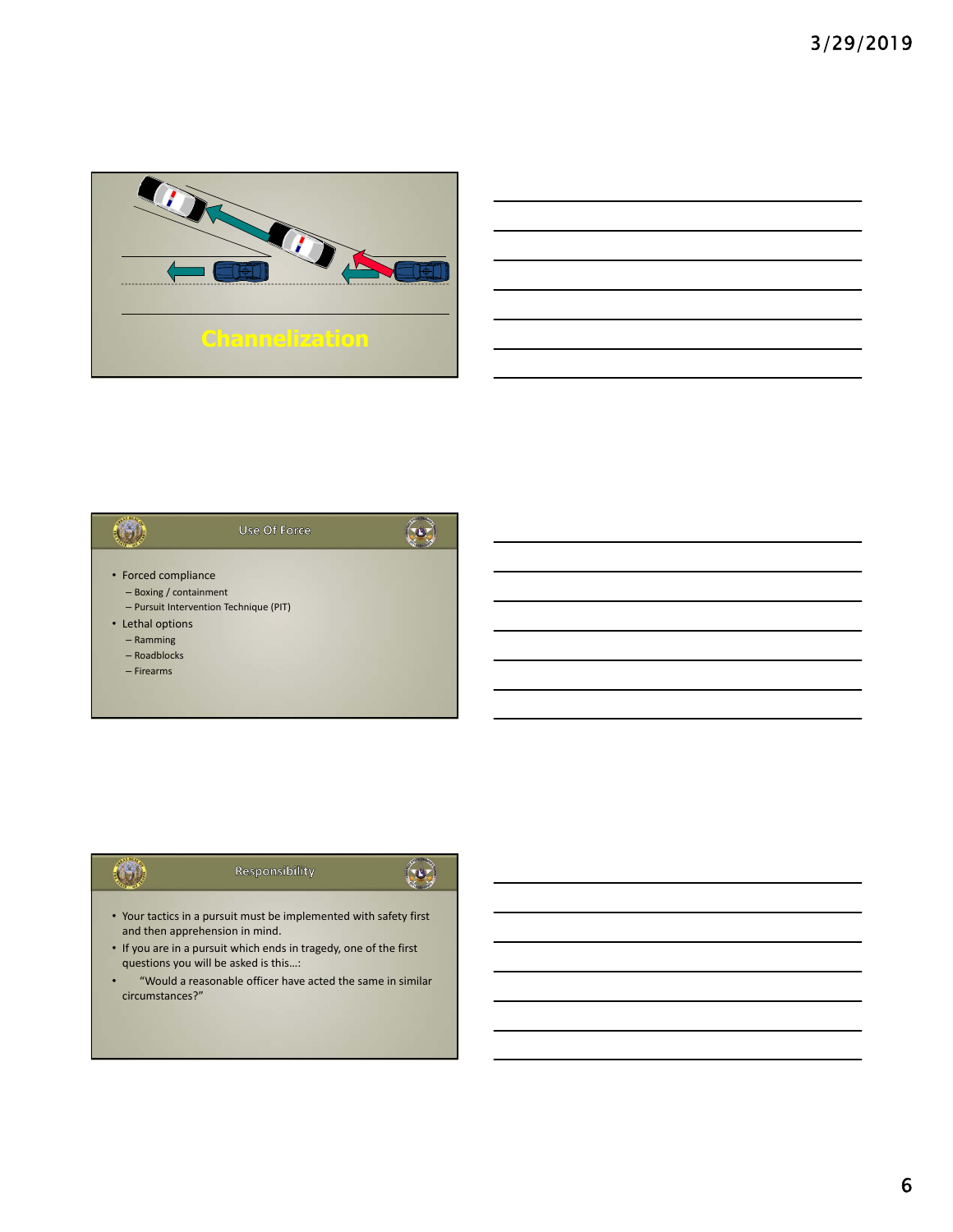





- Your tactics in a pursuit must be implemented with safety first and then apprehension in mind.
- If you are in a pursuit which ends in tragedy, one of the first questions you will be asked is this…:
- "Would a reasonable officer have acted the same in similar circumstances?"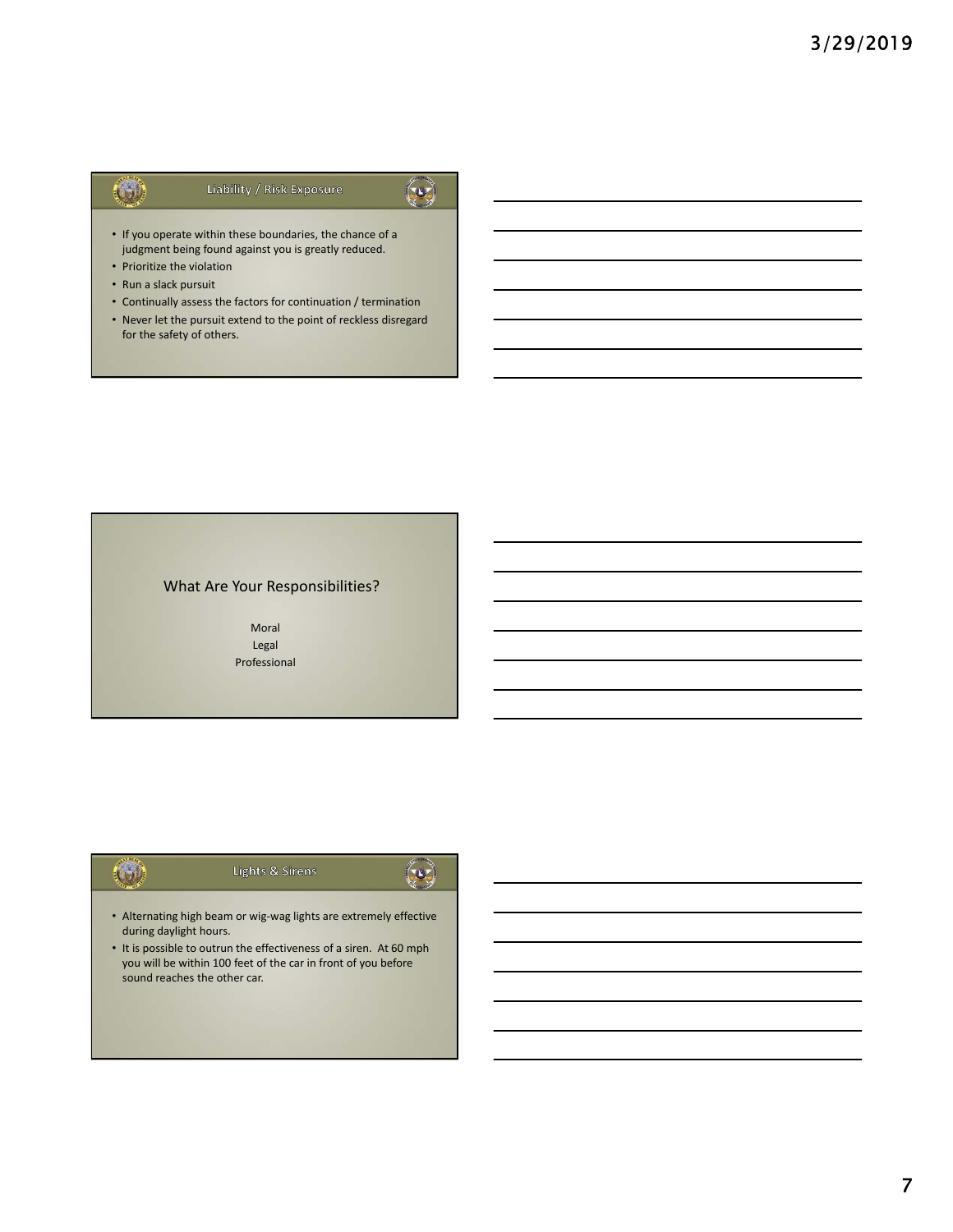### Liability / Risk Exposure



 $\left( 0 \right)$ 

- If you operate within these boundaries, the chance of a judgment being found against you is greatly reduced.
- Prioritize the violation
- Run a slack pursuit

 $\left( 6\right)$ 

- Continually assess the factors for continuation / termination
- Never let the pursuit extend to the point of reckless disregard for the safety of others.

### What Are Your Responsibilities?

Moral Legal Professional

### $\left($  by Lights & Sirens

- Alternating high beam or wig‐wag lights are extremely effective during daylight hours.
- It is possible to outrun the effectiveness of a siren. At 60 mph you will be within 100 feet of the car in front of you before sound reaches the other car.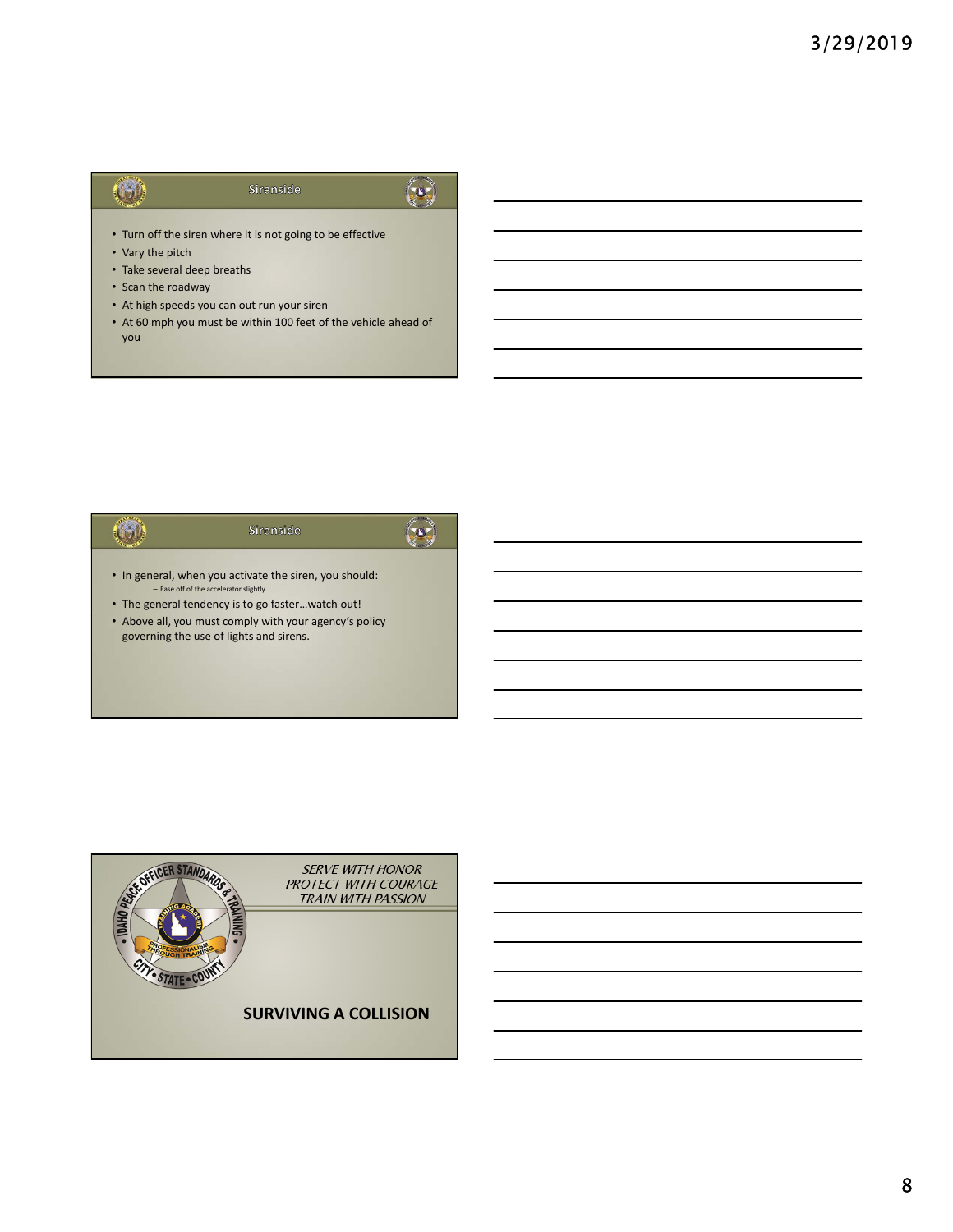### $\left( \begin{matrix} 1 \\ 1 \end{matrix} \right)$ Sirenside



- Turn off the siren where it is not going to be effective
- Vary the pitch
- Take several deep breaths
- Scan the roadway
- At high speeds you can out run your siren
- At 60 mph you must be within 100 feet of the vehicle ahead of you

### $\odot$  $\left($ o) Sirenside • In general, when you activate the siren, you should: – Ease off of the accelerator slightly • The general tendency is to go faster…watch out! • Above all, you must comply with your agency's policy governing the use of lights and sirens.

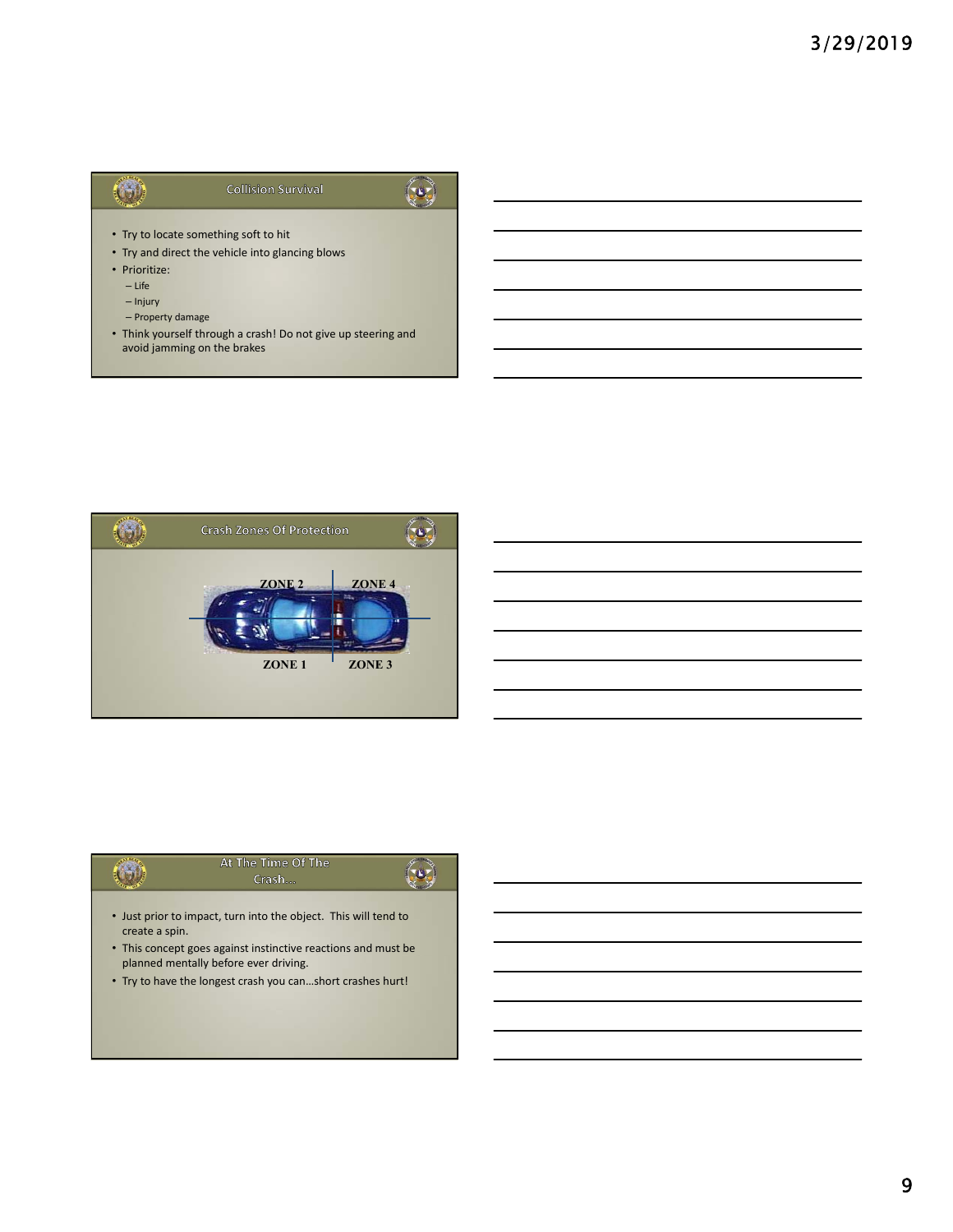#### $\odot$ **Collision Survival**



- Try to locate something soft to hit
- Try and direct the vehicle into glancing blows
- Prioritize:
	- Life
	- Injury
	- Property damage
- Think yourself through a crash! Do not give up steering and avoid jamming on the brakes



|                                                            | At The Time Of The                                                                                     |  |
|------------------------------------------------------------|--------------------------------------------------------------------------------------------------------|--|
|                                                            | Crash                                                                                                  |  |
|                                                            |                                                                                                        |  |
| create a spin.                                             | • Just prior to impact, turn into the object. This will tend to                                        |  |
|                                                            | • This concept goes against instinctive reactions and must be<br>planned mentally before ever driving. |  |
| • Try to have the longest crash you canshort crashes hurt! |                                                                                                        |  |
|                                                            |                                                                                                        |  |
|                                                            |                                                                                                        |  |
|                                                            |                                                                                                        |  |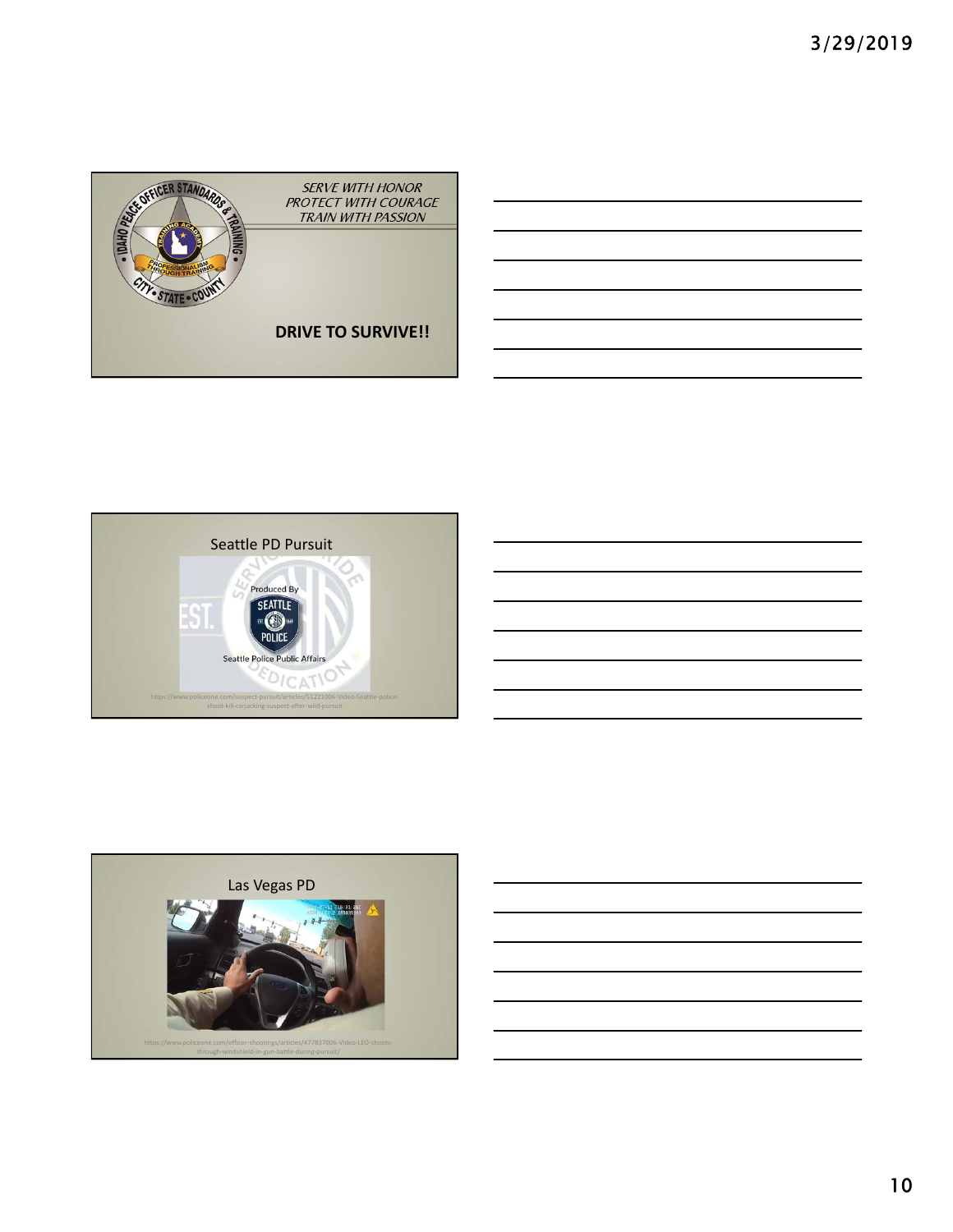





10